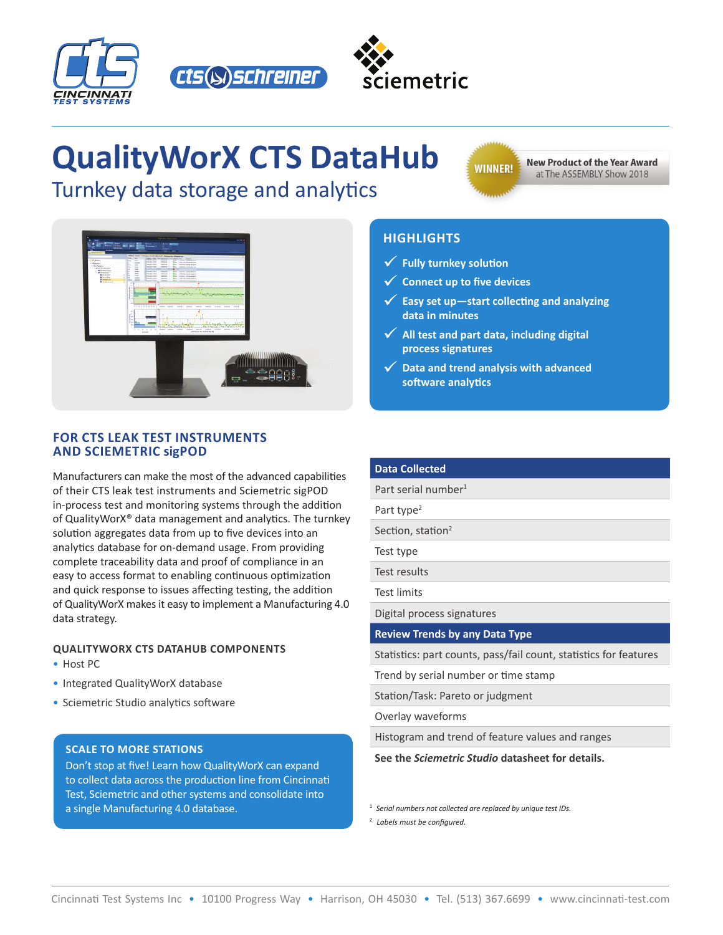





# **QualityWorX CTS DataHub**

Turnkey data storage and analytics

**WINNER!** 

**New Product of the Year Award** at The ASSEMBLY Show 2018



#### **FOR CTS LEAK TEST INSTRUMENTS AND SCIEMETRIC sigPOD**

Manufacturers can make the most of the advanced capabilities of their CTS leak test instruments and Sciemetric sigPOD in-process test and monitoring systems through the addition of QualityWorX® data management and analytics. The turnkey solution aggregates data from up to five devices into an analytics database for on-demand usage. From providing complete traceability data and proof of compliance in an easy to access format to enabling continuous optimization and quick response to issues affecting testing, the addition of QualityWorX makes it easy to implement a Manufacturing 4.0 data strategy.

#### **QUALITYWORX CTS DATAHUB COMPONENTS**

- Host PC
- Integrated QualityWorX database
- Sciemetric Studio analytics software

#### **SCALE TO MORE STATIONS**

Don't stop at five! Learn how QualityWorX can expand to collect data across the production line from Cincinnati Test, Sciemetric and other systems and consolidate into a single Manufacturing 4.0 database.

# **HIGHLIGHTS**

- 9 **Fully turnkey solution**
- 9 **Connect up to five devices**
- 9 **Easy set up—start collecting and analyzing data in minutes**
- ◆ All test and part data, including digital **process signatures**
- 9 **Data and trend analysis with advanced software analytics**

# **Data Collected**

Part serial number<sup>1</sup>

Part type<sup>2</sup>

Section, station<sup>2</sup>

Test type

Test results

Test limits

Digital process signatures

**Review Trends by any Data Type**

Statistics: part counts, pass/fail count, statistics for features

Trend by serial number or time stamp

Station/Task: Pareto or judgment

Overlay waveforms

Histogram and trend of feature values and ranges

**See the** *Sciemetric Studio* **datasheet for details.**

1 *Serial numbers not collected are replaced by unique test IDs.*

2 *Labels must be configured.*